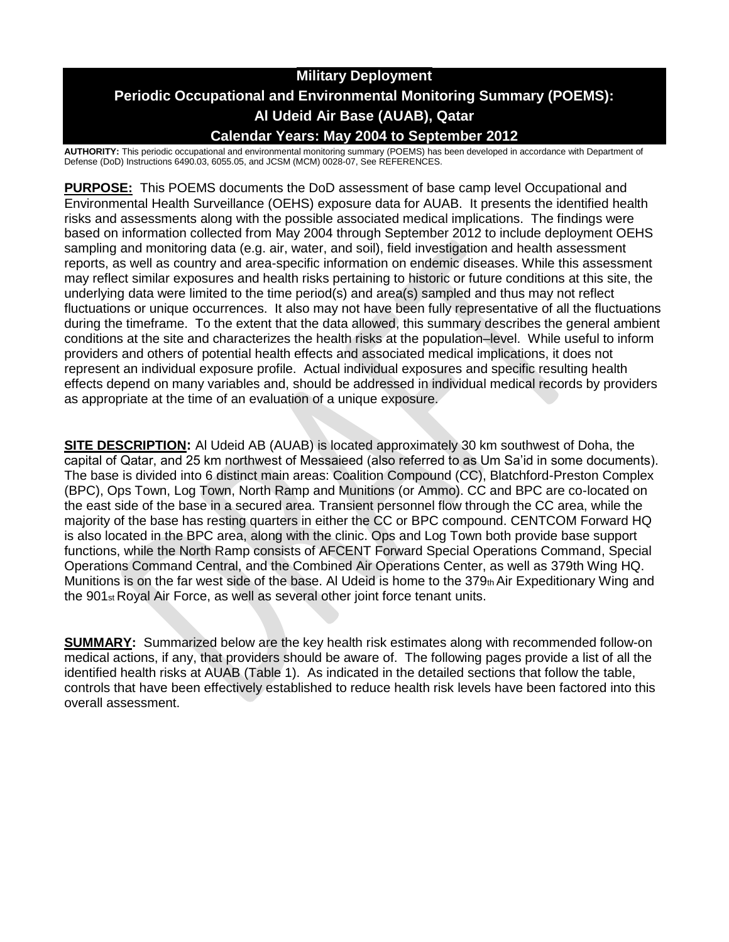## **Military Deployment Periodic Occupational and Environmental Monitoring Summary (POEMS): Al Udeid Air Base (AUAB), Qatar Calendar Years: May 2004 to September 2012**

**AUTHORITY:** This periodic occupational and environmental monitoring summary (POEMS) has been developed in accordance with Department of Defense (DoD) Instructions 6490.03, 6055.05, and JCSM (MCM) 0028-07, See REFERENCES.

**PURPOSE:** This POEMS documents the DoD assessment of base camp level Occupational and Environmental Health Surveillance (OEHS) exposure data for AUAB. It presents the identified health risks and assessments along with the possible associated medical implications. The findings were based on information collected from May 2004 through September 2012 to include deployment OEHS sampling and monitoring data (e.g. air, water, and soil), field investigation and health assessment reports, as well as country and area-specific information on endemic diseases. While this assessment may reflect similar exposures and health risks pertaining to historic or future conditions at this site, the underlying data were limited to the time period(s) and area(s) sampled and thus may not reflect fluctuations or unique occurrences. It also may not have been fully representative of all the fluctuations during the timeframe. To the extent that the data allowed, this summary describes the general ambient conditions at the site and characterizes the health risks at the population–level. While useful to inform providers and others of potential health effects and associated medical implications, it does not represent an individual exposure profile. Actual individual exposures and specific resulting health effects depend on many variables and, should be addressed in individual medical records by providers as appropriate at the time of an evaluation of a unique exposure.

**SITE DESCRIPTION:** Al Udeid AB (AUAB) is located approximately 30 km southwest of Doha, the capital of Qatar, and 25 km northwest of Messaieed (also referred to as Um Sa'id in some documents). The base is divided into 6 distinct main areas: Coalition Compound (CC), Blatchford-Preston Complex (BPC), Ops Town, Log Town, North Ramp and Munitions (or Ammo). CC and BPC are co-located on the east side of the base in a secured area. Transient personnel flow through the CC area, while the majority of the base has resting quarters in either the CC or BPC compound. CENTCOM Forward HQ is also located in the BPC area, along with the clinic. Ops and Log Town both provide base support functions, while the North Ramp consists of AFCENT Forward Special Operations Command, Special Operations Command Central, and the Combined Air Operations Center, as well as 379th Wing HQ. Munitions is on the far west side of the base. Al Udeid is home to the  $379<sub>th</sub>$  Air Expeditionary Wing and the 901st Royal Air Force, as well as several other joint force tenant units.

**SUMMARY:** Summarized below are the key health risk estimates along with recommended follow-on medical actions, if any, that providers should be aware of. The following pages provide a list of all the identified health risks at AUAB (Table 1). As indicated in the detailed sections that follow the table, controls that have been effectively established to reduce health risk levels have been factored into this overall assessment.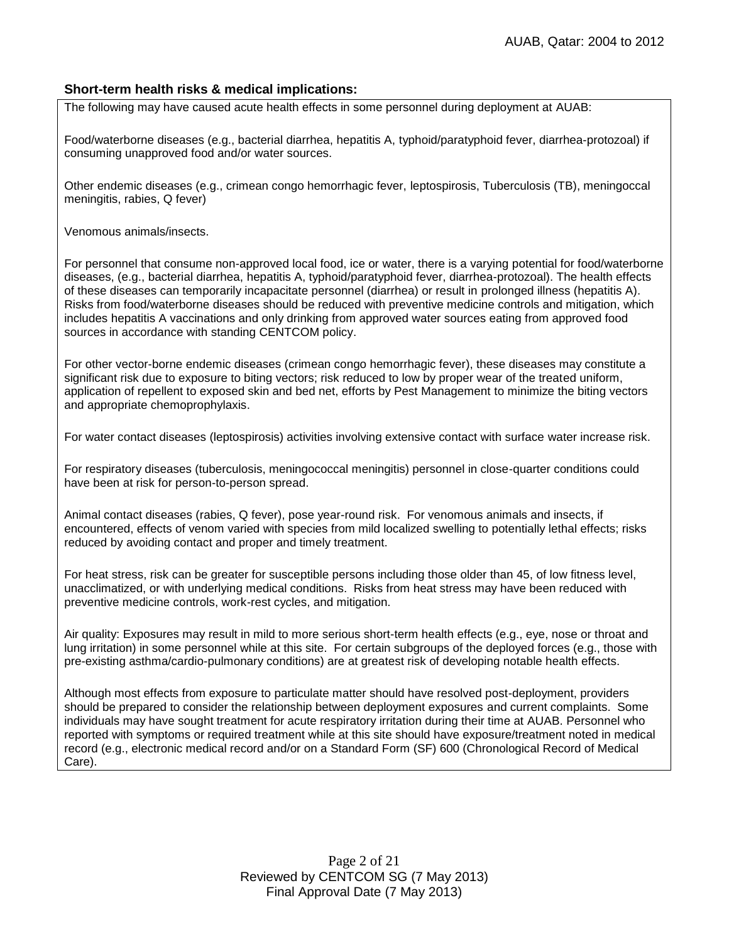## **Short-term health risks & medical implications:**

The following may have caused acute health effects in some personnel during deployment at AUAB:

Food/waterborne diseases (e.g., bacterial diarrhea, hepatitis A, typhoid/paratyphoid fever, diarrhea-protozoal) if consuming unapproved food and/or water sources.

Other endemic diseases (e.g., crimean congo hemorrhagic fever, leptospirosis, Tuberculosis (TB), meningoccal meningitis, rabies, Q fever)

Venomous animals/insects.

For personnel that consume non-approved local food, ice or water, there is a varying potential for food/waterborne diseases, (e.g., bacterial diarrhea, hepatitis A, typhoid/paratyphoid fever, diarrhea-protozoal). The health effects of these diseases can temporarily incapacitate personnel (diarrhea) or result in prolonged illness (hepatitis A). Risks from food/waterborne diseases should be reduced with preventive medicine controls and mitigation, which includes hepatitis A vaccinations and only drinking from approved water sources eating from approved food sources in accordance with standing CENTCOM policy.

For other vector-borne endemic diseases (crimean congo hemorrhagic fever), these diseases may constitute a significant risk due to exposure to biting vectors; risk reduced to low by proper wear of the treated uniform, application of repellent to exposed skin and bed net, efforts by Pest Management to minimize the biting vectors and appropriate chemoprophylaxis.

For water contact diseases (leptospirosis) activities involving extensive contact with surface water increase risk.

For respiratory diseases (tuberculosis, meningococcal meningitis) personnel in close-quarter conditions could have been at risk for person-to-person spread.

Animal contact diseases (rabies, Q fever), pose year-round risk. For venomous animals and insects, if encountered, effects of venom varied with species from mild localized swelling to potentially lethal effects; risks reduced by avoiding contact and proper and timely treatment.

For heat stress, risk can be greater for susceptible persons including those older than 45, of low fitness level, unacclimatized, or with underlying medical conditions. Risks from heat stress may have been reduced with preventive medicine controls, work-rest cycles, and mitigation.

Air quality: Exposures may result in mild to more serious short-term health effects (e.g., eye, nose or throat and lung irritation) in some personnel while at this site. For certain subgroups of the deployed forces (e.g., those with pre-existing asthma/cardio-pulmonary conditions) are at greatest risk of developing notable health effects.

Although most effects from exposure to particulate matter should have resolved post-deployment, providers should be prepared to consider the relationship between deployment exposures and current complaints. Some individuals may have sought treatment for acute respiratory irritation during their time at AUAB. Personnel who reported with symptoms or required treatment while at this site should have exposure/treatment noted in medical record (e.g., electronic medical record and/or on a Standard Form (SF) 600 (Chronological Record of Medical Care).

> Page 2 of 21 Reviewed by CENTCOM SG (7 May 2013) Final Approval Date (7 May 2013)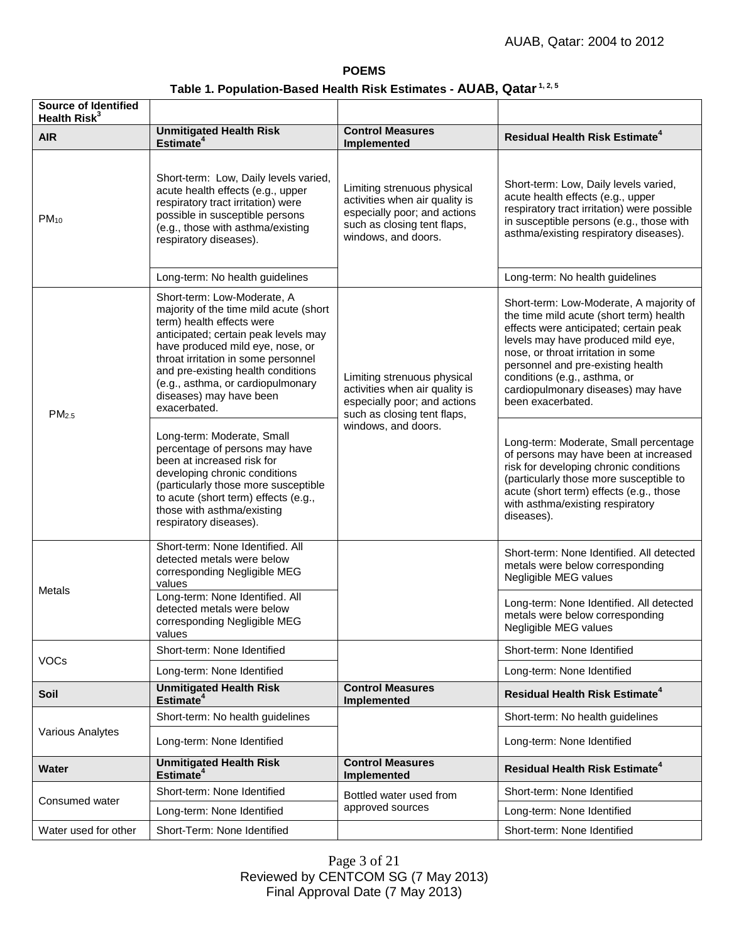#### **POEMS**

# **Table 1. Population-Based Health Risk Estimates - AUAB, Qatar 1, 2, <sup>5</sup>**

| <b>Source of Identified</b><br>Health Risk <sup>3</sup> |                                                                                                                                                                                                                                                                                                                                                                                                                                                                                                                                                                                          |                                                                                                                                                     |                                                                                                                                                                                                                                                                                                                                                                                                                                                                                                                                                                                                |
|---------------------------------------------------------|------------------------------------------------------------------------------------------------------------------------------------------------------------------------------------------------------------------------------------------------------------------------------------------------------------------------------------------------------------------------------------------------------------------------------------------------------------------------------------------------------------------------------------------------------------------------------------------|-----------------------------------------------------------------------------------------------------------------------------------------------------|------------------------------------------------------------------------------------------------------------------------------------------------------------------------------------------------------------------------------------------------------------------------------------------------------------------------------------------------------------------------------------------------------------------------------------------------------------------------------------------------------------------------------------------------------------------------------------------------|
| <b>AIR</b>                                              | <b>Unmitigated Health Risk</b><br>Estimate <sup>4</sup>                                                                                                                                                                                                                                                                                                                                                                                                                                                                                                                                  | <b>Control Measures</b><br>Implemented                                                                                                              | <b>Residual Health Risk Estimate<sup>4</sup></b>                                                                                                                                                                                                                                                                                                                                                                                                                                                                                                                                               |
| $PM_{10}$                                               | Short-term: Low, Daily levels varied,<br>acute health effects (e.g., upper<br>respiratory tract irritation) were<br>possible in susceptible persons<br>(e.g., those with asthma/existing<br>respiratory diseases).                                                                                                                                                                                                                                                                                                                                                                       | Limiting strenuous physical<br>activities when air quality is<br>especially poor; and actions<br>such as closing tent flaps,<br>windows, and doors. | Short-term: Low, Daily levels varied,<br>acute health effects (e.g., upper<br>respiratory tract irritation) were possible<br>in susceptible persons (e.g., those with<br>asthma/existing respiratory diseases).                                                                                                                                                                                                                                                                                                                                                                                |
|                                                         | Long-term: No health guidelines                                                                                                                                                                                                                                                                                                                                                                                                                                                                                                                                                          |                                                                                                                                                     | Long-term: No health guidelines                                                                                                                                                                                                                                                                                                                                                                                                                                                                                                                                                                |
| PM <sub>2.5</sub>                                       | Short-term: Low-Moderate, A<br>majority of the time mild acute (short<br>term) health effects were<br>anticipated; certain peak levels may<br>have produced mild eye, nose, or<br>throat irritation in some personnel<br>and pre-existing health conditions<br>(e.g., asthma, or cardiopulmonary<br>diseases) may have been<br>exacerbated.<br>Long-term: Moderate, Small<br>percentage of persons may have<br>been at increased risk for<br>developing chronic conditions<br>(particularly those more susceptible<br>to acute (short term) effects (e.g.,<br>those with asthma/existing | Limiting strenuous physical<br>activities when air quality is<br>especially poor; and actions<br>such as closing tent flaps,<br>windows, and doors. | Short-term: Low-Moderate, A majority of<br>the time mild acute (short term) health<br>effects were anticipated; certain peak<br>levels may have produced mild eye,<br>nose, or throat irritation in some<br>personnel and pre-existing health<br>conditions (e.g., asthma, or<br>cardiopulmonary diseases) may have<br>been exacerbated.<br>Long-term: Moderate, Small percentage<br>of persons may have been at increased<br>risk for developing chronic conditions<br>(particularly those more susceptible to<br>acute (short term) effects (e.g., those<br>with asthma/existing respiratory |
|                                                         | respiratory diseases).<br>Short-term: None Identified. All                                                                                                                                                                                                                                                                                                                                                                                                                                                                                                                               |                                                                                                                                                     | diseases).                                                                                                                                                                                                                                                                                                                                                                                                                                                                                                                                                                                     |
| Metals                                                  | detected metals were below<br>corresponding Negligible MEG<br>values                                                                                                                                                                                                                                                                                                                                                                                                                                                                                                                     |                                                                                                                                                     | Short-term: None Identified. All detected<br>metals were below corresponding<br>Negligible MEG values                                                                                                                                                                                                                                                                                                                                                                                                                                                                                          |
|                                                         | Long-term: None Identified. All<br>detected metals were below<br>corresponding Negligible MEG<br>values                                                                                                                                                                                                                                                                                                                                                                                                                                                                                  |                                                                                                                                                     | Long-term: None Identified. All detected<br>metals were below corresponding<br>Negligible MEG values                                                                                                                                                                                                                                                                                                                                                                                                                                                                                           |
| <b>VOCs</b>                                             | Short-term: None Identified                                                                                                                                                                                                                                                                                                                                                                                                                                                                                                                                                              |                                                                                                                                                     | Short-term: None Identified                                                                                                                                                                                                                                                                                                                                                                                                                                                                                                                                                                    |
|                                                         | Long-term: None Identified                                                                                                                                                                                                                                                                                                                                                                                                                                                                                                                                                               |                                                                                                                                                     | Long-term: None Identified                                                                                                                                                                                                                                                                                                                                                                                                                                                                                                                                                                     |
| Soil                                                    | <b>Unmitigated Health Risk</b><br>Estimate <sup>4</sup>                                                                                                                                                                                                                                                                                                                                                                                                                                                                                                                                  | <b>Control Measures</b><br>Implemented                                                                                                              | <b>Residual Health Risk Estimate<sup>4</sup></b>                                                                                                                                                                                                                                                                                                                                                                                                                                                                                                                                               |
| Various Analytes                                        | Short-term: No health guidelines                                                                                                                                                                                                                                                                                                                                                                                                                                                                                                                                                         |                                                                                                                                                     | Short-term: No health guidelines                                                                                                                                                                                                                                                                                                                                                                                                                                                                                                                                                               |
|                                                         | Long-term: None Identified                                                                                                                                                                                                                                                                                                                                                                                                                                                                                                                                                               |                                                                                                                                                     | Long-term: None Identified                                                                                                                                                                                                                                                                                                                                                                                                                                                                                                                                                                     |
| Water                                                   | <b>Unmitigated Health Risk</b><br>Estimate <sup>4</sup>                                                                                                                                                                                                                                                                                                                                                                                                                                                                                                                                  | <b>Control Measures</b><br>Implemented                                                                                                              | <b>Residual Health Risk Estimate<sup>4</sup></b>                                                                                                                                                                                                                                                                                                                                                                                                                                                                                                                                               |
| Consumed water                                          | Short-term: None Identified                                                                                                                                                                                                                                                                                                                                                                                                                                                                                                                                                              | Bottled water used from<br>approved sources                                                                                                         | Short-term: None Identified                                                                                                                                                                                                                                                                                                                                                                                                                                                                                                                                                                    |
|                                                         | Long-term: None Identified                                                                                                                                                                                                                                                                                                                                                                                                                                                                                                                                                               |                                                                                                                                                     | Long-term: None Identified                                                                                                                                                                                                                                                                                                                                                                                                                                                                                                                                                                     |
| Water used for other                                    | Short-Term: None Identified                                                                                                                                                                                                                                                                                                                                                                                                                                                                                                                                                              |                                                                                                                                                     | Short-term: None Identified                                                                                                                                                                                                                                                                                                                                                                                                                                                                                                                                                                    |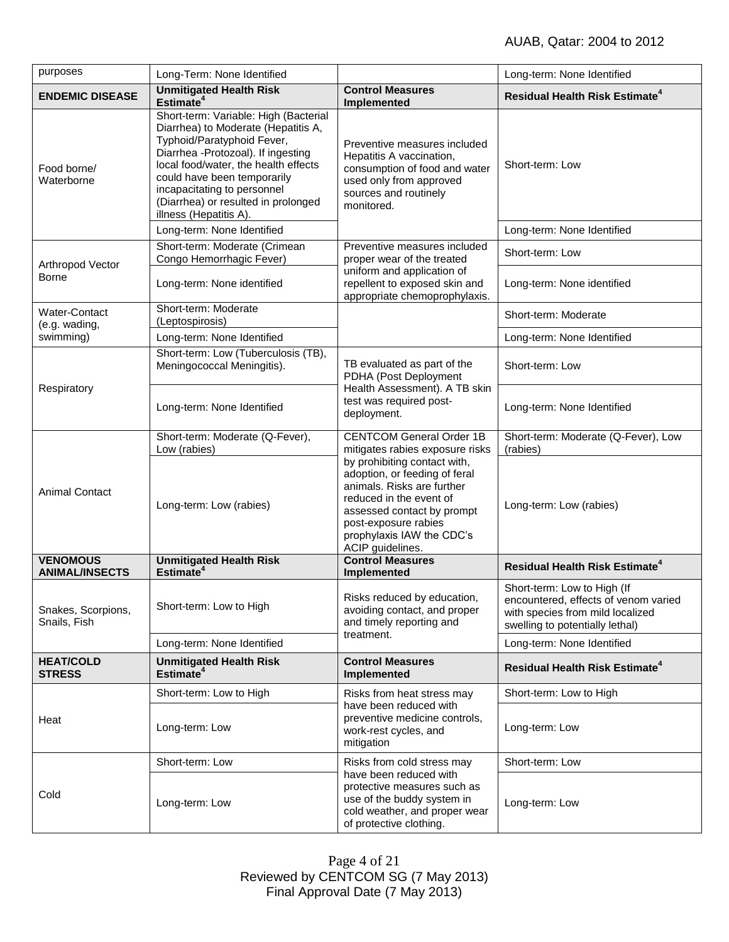| purposes                                    | Long-Term: None Identified                                                                                                                                                                                                                                                                                              |                                                                                                                                                                                                                               | Long-term: None Identified                                                                                                                 |
|---------------------------------------------|-------------------------------------------------------------------------------------------------------------------------------------------------------------------------------------------------------------------------------------------------------------------------------------------------------------------------|-------------------------------------------------------------------------------------------------------------------------------------------------------------------------------------------------------------------------------|--------------------------------------------------------------------------------------------------------------------------------------------|
| <b>ENDEMIC DISEASE</b>                      | <b>Unmitigated Health Risk</b><br>Estimate <sup>4</sup>                                                                                                                                                                                                                                                                 | <b>Control Measures</b><br>Implemented                                                                                                                                                                                        | <b>Residual Health Risk Estimate<sup>4</sup></b>                                                                                           |
| Food borne/<br>Waterborne                   | Short-term: Variable: High (Bacterial<br>Diarrhea) to Moderate (Hepatitis A,<br>Typhoid/Paratyphoid Fever,<br>Diarrhea -Protozoal). If ingesting<br>local food/water, the health effects<br>could have been temporarily<br>incapacitating to personnel<br>(Diarrhea) or resulted in prolonged<br>illness (Hepatitis A). | Preventive measures included<br>Hepatitis A vaccination,<br>consumption of food and water<br>used only from approved<br>sources and routinely<br>monitored.                                                                   | Short-term: Low                                                                                                                            |
|                                             | Long-term: None Identified                                                                                                                                                                                                                                                                                              |                                                                                                                                                                                                                               | Long-term: None Identified                                                                                                                 |
| Arthropod Vector<br><b>Borne</b>            | Short-term: Moderate (Crimean<br>Congo Hemorrhagic Fever)                                                                                                                                                                                                                                                               | Preventive measures included<br>proper wear of the treated                                                                                                                                                                    | Short-term: Low                                                                                                                            |
|                                             | Long-term: None identified                                                                                                                                                                                                                                                                                              | uniform and application of<br>repellent to exposed skin and<br>appropriate chemoprophylaxis.                                                                                                                                  | Long-term: None identified                                                                                                                 |
| Water-Contact<br>(e.g. wading,<br>swimming) | Short-term: Moderate<br>(Leptospirosis)                                                                                                                                                                                                                                                                                 |                                                                                                                                                                                                                               | Short-term: Moderate                                                                                                                       |
|                                             | Long-term: None Identified                                                                                                                                                                                                                                                                                              |                                                                                                                                                                                                                               | Long-term: None Identified                                                                                                                 |
| Respiratory                                 | Short-term: Low (Tuberculosis (TB),<br>Meningococcal Meningitis).                                                                                                                                                                                                                                                       | TB evaluated as part of the<br>PDHA (Post Deployment<br>Health Assessment). A TB skin<br>test was required post-<br>deployment.                                                                                               | Short-term: Low                                                                                                                            |
|                                             | Long-term: None Identified                                                                                                                                                                                                                                                                                              |                                                                                                                                                                                                                               | Long-term: None Identified                                                                                                                 |
| <b>Animal Contact</b>                       | Short-term: Moderate (Q-Fever),<br>Low (rabies)                                                                                                                                                                                                                                                                         | <b>CENTCOM General Order 1B</b><br>mitigates rabies exposure risks                                                                                                                                                            | Short-term: Moderate (Q-Fever), Low<br>(rabies)                                                                                            |
|                                             | Long-term: Low (rabies)                                                                                                                                                                                                                                                                                                 | by prohibiting contact with,<br>adoption, or feeding of feral<br>animals. Risks are further<br>reduced in the event of<br>assessed contact by prompt<br>post-exposure rabies<br>prophylaxis IAW the CDC's<br>ACIP guidelines. | Long-term: Low (rabies)                                                                                                                    |
| <b>VENOMOUS</b><br><b>ANIMAL/INSECTS</b>    | <b>Unmitigated Health Risk</b><br>Estimate <sup>4</sup>                                                                                                                                                                                                                                                                 | <b>Control Measures</b><br>Implemented                                                                                                                                                                                        | <b>Residual Health Risk Estimate<sup>4</sup></b>                                                                                           |
| Snakes, Scorpions,<br>Snails, Fish          | Short-term: Low to High                                                                                                                                                                                                                                                                                                 | Risks reduced by education,<br>avoiding contact, and proper<br>and timely reporting and<br>treatment.                                                                                                                         | Short-term: Low to High (If<br>encountered, effects of venom varied<br>with species from mild localized<br>swelling to potentially lethal) |
|                                             | Long-term: None Identified                                                                                                                                                                                                                                                                                              |                                                                                                                                                                                                                               | Long-term: None Identified                                                                                                                 |
| <b>HEAT/COLD</b><br><b>STRESS</b>           | <b>Unmitigated Health Risk</b><br>Estimate <sup>4</sup>                                                                                                                                                                                                                                                                 | <b>Control Measures</b><br>Implemented                                                                                                                                                                                        | <b>Residual Health Risk Estimate<sup>4</sup></b>                                                                                           |
| Heat                                        | Short-term: Low to High                                                                                                                                                                                                                                                                                                 | Risks from heat stress may                                                                                                                                                                                                    | Short-term: Low to High                                                                                                                    |
|                                             | Long-term: Low                                                                                                                                                                                                                                                                                                          | have been reduced with<br>preventive medicine controls,<br>work-rest cycles, and<br>mitigation                                                                                                                                | Long-term: Low                                                                                                                             |
| Cold                                        | Short-term: Low                                                                                                                                                                                                                                                                                                         | Risks from cold stress may                                                                                                                                                                                                    | Short-term: Low                                                                                                                            |
|                                             | Long-term: Low                                                                                                                                                                                                                                                                                                          | have been reduced with<br>protective measures such as<br>use of the buddy system in<br>cold weather, and proper wear<br>of protective clothing.                                                                               | Long-term: Low                                                                                                                             |

Page 4 of 21 Reviewed by CENTCOM SG (7 May 2013) Final Approval Date (7 May 2013)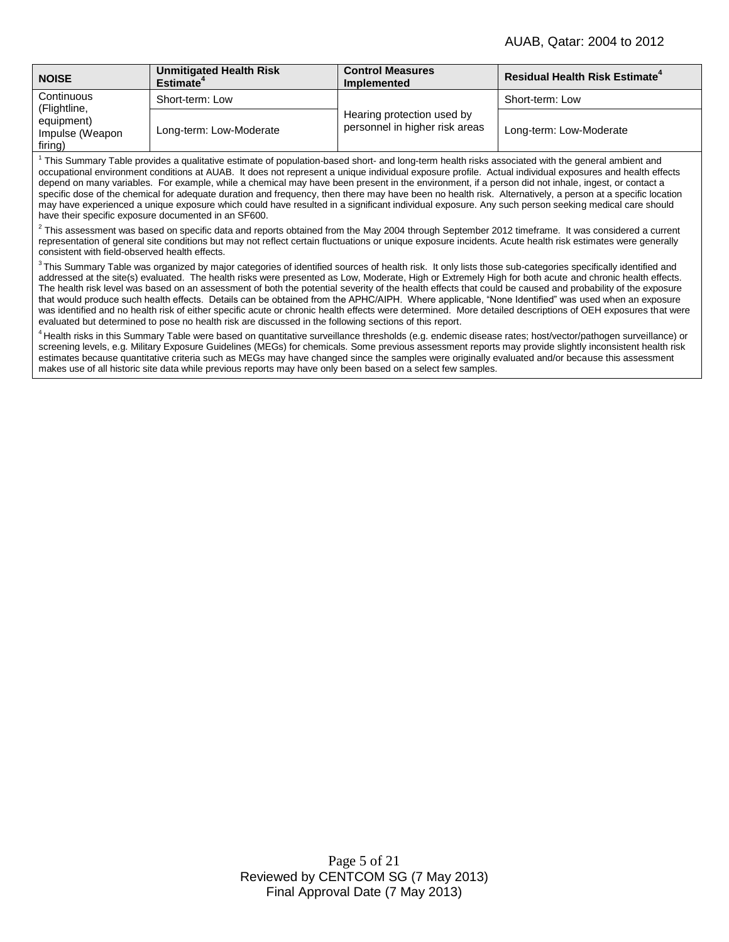| <b>NOISE</b>                                                           | <b>Unmitigated Health Risk</b><br>Estimate <sup>*</sup> | <b>Control Measures</b><br><b>Implemented</b>                | <b>Residual Health Risk Estimate<sup>4</sup></b> |
|------------------------------------------------------------------------|---------------------------------------------------------|--------------------------------------------------------------|--------------------------------------------------|
| Continuous<br>(Flightline,<br>equipment)<br>Impulse (Weapon<br>firing) | Short-term: Low                                         | Hearing protection used by<br>personnel in higher risk areas | Short-term: Low                                  |
|                                                                        | Long-term: Low-Moderate                                 |                                                              | Long-term: Low-Moderate                          |

<sup>1</sup> This Summary Table provides a qualitative estimate of population-based short- and long-term health risks associated with the general ambient and occupational environment conditions at AUAB. It does not represent a unique individual exposure profile. Actual individual exposures and health effects depend on many variables. For example, while a chemical may have been present in the environment, if a person did not inhale, ingest, or contact a specific dose of the chemical for adequate duration and frequency, then there may have been no health risk. Alternatively, a person at a specific location may have experienced a unique exposure which could have resulted in a significant individual exposure. Any such person seeking medical care should have their specific exposure documented in an SF600.

 $^2$  This assessment was based on specific data and reports obtained from the May 2004 through September 2012 timeframe. It was considered a current representation of general site conditions but may not reflect certain fluctuations or unique exposure incidents. Acute health risk estimates were generally consistent with field-observed health effects.

<sup>3</sup>This Summary Table was organized by major categories of identified sources of health risk. It only lists those sub-categories specifically identified and addressed at the site(s) evaluated. The health risks were presented as Low, Moderate, High or Extremely High for both acute and chronic health effects. The health risk level was based on an assessment of both the potential severity of the health effects that could be caused and probability of the exposure that would produce such health effects. Details can be obtained from the APHC/AIPH. Where applicable, "None Identified" was used when an exposure was identified and no health risk of either specific acute or chronic health effects were determined. More detailed descriptions of OEH exposures that were evaluated but determined to pose no health risk are discussed in the following sections of this report.

<sup>4</sup> Health risks in this Summary Table were based on quantitative surveillance thresholds (e.g. endemic disease rates; host/vector/pathogen surveillance) or screening levels, e.g. Military Exposure Guidelines (MEGs) for chemicals. Some previous assessment reports may provide slightly inconsistent health risk estimates because quantitative criteria such as MEGs may have changed since the samples were originally evaluated and/or because this assessment makes use of all historic site data while previous reports may have only been based on a select few samples.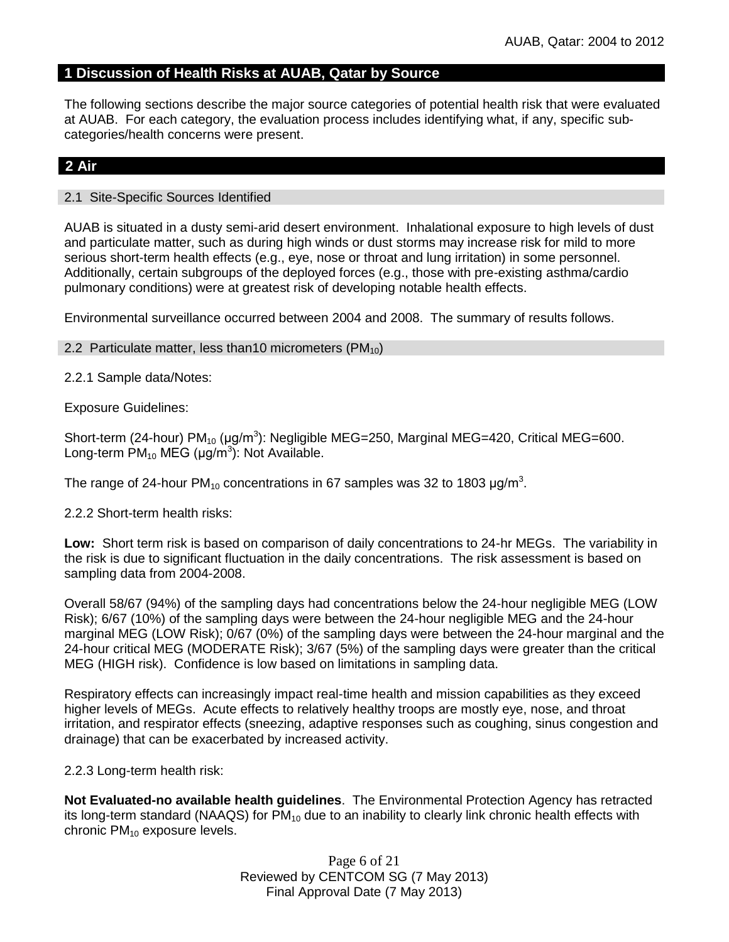## **1 Discussion of Health Risks at AUAB, Qatar by Source**

The following sections describe the major source categories of potential health risk that were evaluated at AUAB. For each category, the evaluation process includes identifying what, if any, specific subcategories/health concerns were present.

## **2 Air**

#### 2.1 Site-Specific Sources Identified

AUAB is situated in a dusty semi-arid desert environment. Inhalational exposure to high levels of dust and particulate matter, such as during high winds or dust storms may increase risk for mild to more serious short-term health effects (e.g., eye, nose or throat and lung irritation) in some personnel. Additionally, certain subgroups of the deployed forces (e.g., those with pre-existing asthma/cardio pulmonary conditions) were at greatest risk of developing notable health effects.

Environmental surveillance occurred between 2004 and 2008. The summary of results follows.

2.2 Particulate matter, less than 10 micrometers ( $PM_{10}$ )

2.2.1 Sample data/Notes:

Exposure Guidelines:

Short-term (24-hour)  $PM_{10}$  (µg/m<sup>3</sup>): Negligible MEG=250, Marginal MEG=420, Critical MEG=600. Long-term  $PM_{10}$  MEG (µg/m<sup>3</sup>): Not Available.

The range of 24-hour PM<sub>10</sub> concentrations in 67 samples was 32 to 1803  $\mu$ g/m<sup>3</sup>.

2.2.2 Short-term health risks:

**Low:** Short term risk is based on comparison of daily concentrations to 24-hr MEGs. The variability in the risk is due to significant fluctuation in the daily concentrations. The risk assessment is based on sampling data from 2004-2008.

Overall 58/67 (94%) of the sampling days had concentrations below the 24-hour negligible MEG (LOW Risk); 6/67 (10%) of the sampling days were between the 24-hour negligible MEG and the 24-hour marginal MEG (LOW Risk); 0/67 (0%) of the sampling days were between the 24-hour marginal and the 24-hour critical MEG (MODERATE Risk); 3/67 (5%) of the sampling days were greater than the critical MEG (HIGH risk). Confidence is low based on limitations in sampling data.

Respiratory effects can increasingly impact real-time health and mission capabilities as they exceed higher levels of MEGs. Acute effects to relatively healthy troops are mostly eye, nose, and throat irritation, and respirator effects (sneezing, adaptive responses such as coughing, sinus congestion and drainage) that can be exacerbated by increased activity.

2.2.3 Long-term health risk:

**Not Evaluated-no available health guidelines**. The Environmental Protection Agency has retracted its long-term standard (NAAQS) for  $PM_{10}$  due to an inability to clearly link chronic health effects with chronic  $PM_{10}$  exposure levels.

> Page 6 of 21 Reviewed by CENTCOM SG (7 May 2013) Final Approval Date (7 May 2013)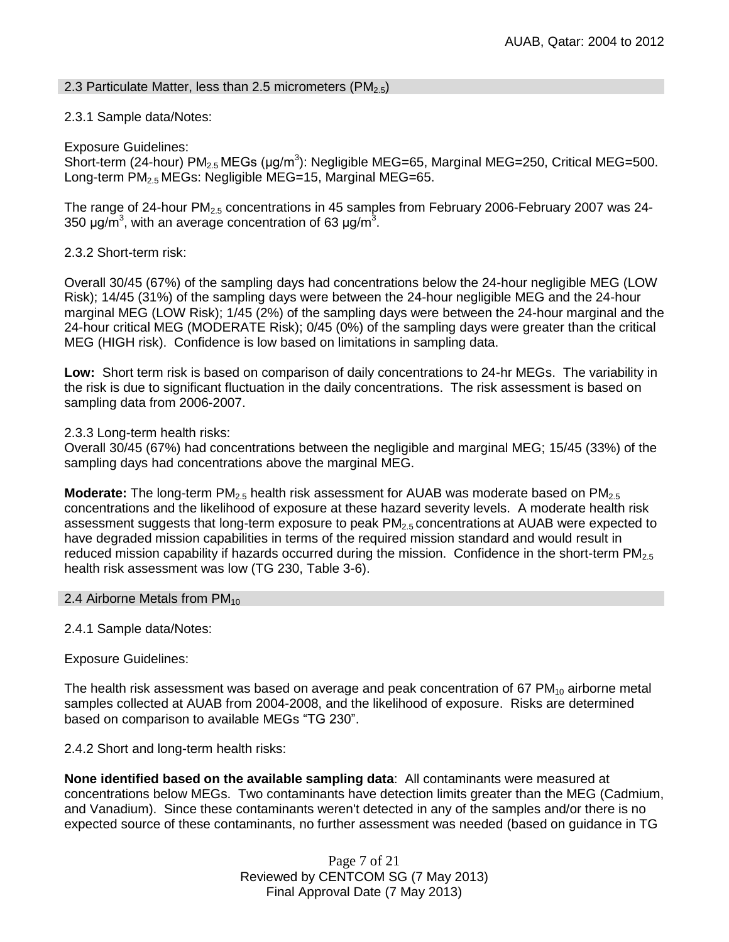### 2.3 Particulate Matter, less than 2.5 micrometers (PM<sub>2.5</sub>)

## 2.3.1 Sample data/Notes:

Exposure Guidelines:

Short-term (24-hour) PM<sub>2.5</sub> MEGs (μg/m<sup>3</sup>): Negligible MEG=65, Marginal MEG=250, Critical MEG=500. Long-term  $PM_{2.5}$  MEGs: Negligible MEG=15, Marginal MEG=65.

The range of 24-hour  $PM_{2.5}$  concentrations in 45 samples from February 2006-February 2007 was 24-350 μg/m<sup>3</sup>, with an average concentration of 63 μg/m<sup>3</sup>.

2.3.2 Short-term risk:

Overall 30/45 (67%) of the sampling days had concentrations below the 24-hour negligible MEG (LOW Risk); 14/45 (31%) of the sampling days were between the 24-hour negligible MEG and the 24-hour marginal MEG (LOW Risk); 1/45 (2%) of the sampling days were between the 24-hour marginal and the 24-hour critical MEG (MODERATE Risk); 0/45 (0%) of the sampling days were greater than the critical MEG (HIGH risk). Confidence is low based on limitations in sampling data.

**Low:** Short term risk is based on comparison of daily concentrations to 24-hr MEGs. The variability in the risk is due to significant fluctuation in the daily concentrations. The risk assessment is based on sampling data from 2006-2007.

2.3.3 Long-term health risks:

Overall 30/45 (67%) had concentrations between the negligible and marginal MEG; 15/45 (33%) of the sampling days had concentrations above the marginal MEG.

**Moderate:** The long-term PM<sub>2.5</sub> health risk assessment for AUAB was moderate based on PM<sub>2.5</sub> concentrations and the likelihood of exposure at these hazard severity levels. A moderate health risk assessment suggests that long-term exposure to peak  $PM_{2.5}$  concentrations at AUAB were expected to have degraded mission capabilities in terms of the required mission standard and would result in reduced mission capability if hazards occurred during the mission. Confidence in the short-term  $PM_{2.5}$ health risk assessment was low (TG 230, Table 3-6).

#### 2.4 Airborne Metals from  $PM_{10}$

2.4.1 Sample data/Notes:

Exposure Guidelines:

The health risk assessment was based on average and peak concentration of 67  $PM_{10}$  airborne metal samples collected at AUAB from 2004-2008, and the likelihood of exposure. Risks are determined based on comparison to available MEGs "TG 230".

2.4.2 Short and long-term health risks:

**None identified based on the available sampling data**: All contaminants were measured at concentrations below MEGs. Two contaminants have detection limits greater than the MEG (Cadmium, and Vanadium). Since these contaminants weren't detected in any of the samples and/or there is no expected source of these contaminants, no further assessment was needed (based on guidance in TG

> Page 7 of 21 Reviewed by CENTCOM SG (7 May 2013) Final Approval Date (7 May 2013)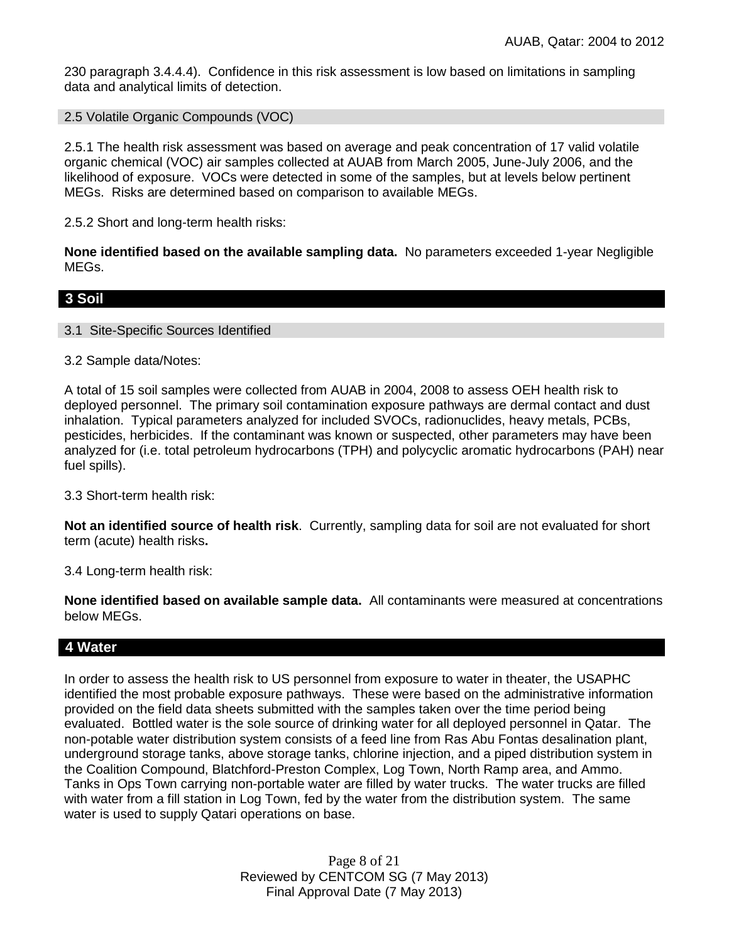230 paragraph 3.4.4.4). Confidence in this risk assessment is low based on limitations in sampling data and analytical limits of detection.

2.5 Volatile Organic Compounds (VOC)

2.5.1 The health risk assessment was based on average and peak concentration of 17 valid volatile organic chemical (VOC) air samples collected at AUAB from March 2005, June-July 2006, and the likelihood of exposure. VOCs were detected in some of the samples, but at levels below pertinent MEGs. Risks are determined based on comparison to available MEGs.

2.5.2 Short and long-term health risks:

**None identified based on the available sampling data.** No parameters exceeded 1-year Negligible MEGs.

## **3 Soil**

3.1 Site-Specific Sources Identified

3.2 Sample data/Notes:

A total of 15 soil samples were collected from AUAB in 2004, 2008 to assess OEH health risk to deployed personnel. The primary soil contamination exposure pathways are dermal contact and dust inhalation. Typical parameters analyzed for included SVOCs, radionuclides, heavy metals, PCBs, pesticides, herbicides. If the contaminant was known or suspected, other parameters may have been analyzed for (i.e. total petroleum hydrocarbons (TPH) and polycyclic aromatic hydrocarbons (PAH) near fuel spills).

3.3 Short-term health risk:

**Not an identified source of health risk**. Currently, sampling data for soil are not evaluated for short term (acute) health risks**.**

3.4 Long-term health risk:

**None identified based on available sample data.** All contaminants were measured at concentrations below MEGs.

## **4 Water**

In order to assess the health risk to US personnel from exposure to water in theater, the USAPHC identified the most probable exposure pathways. These were based on the administrative information provided on the field data sheets submitted with the samples taken over the time period being evaluated. Bottled water is the sole source of drinking water for all deployed personnel in Qatar. The non-potable water distribution system consists of a feed line from Ras Abu Fontas desalination plant, underground storage tanks, above storage tanks, chlorine injection, and a piped distribution system in the Coalition Compound, Blatchford-Preston Complex, Log Town, North Ramp area, and Ammo. Tanks in Ops Town carrying non-portable water are filled by water trucks. The water trucks are filled with water from a fill station in Log Town, fed by the water from the distribution system. The same water is used to supply Qatari operations on base.

> Page 8 of 21 Reviewed by CENTCOM SG (7 May 2013) Final Approval Date (7 May 2013)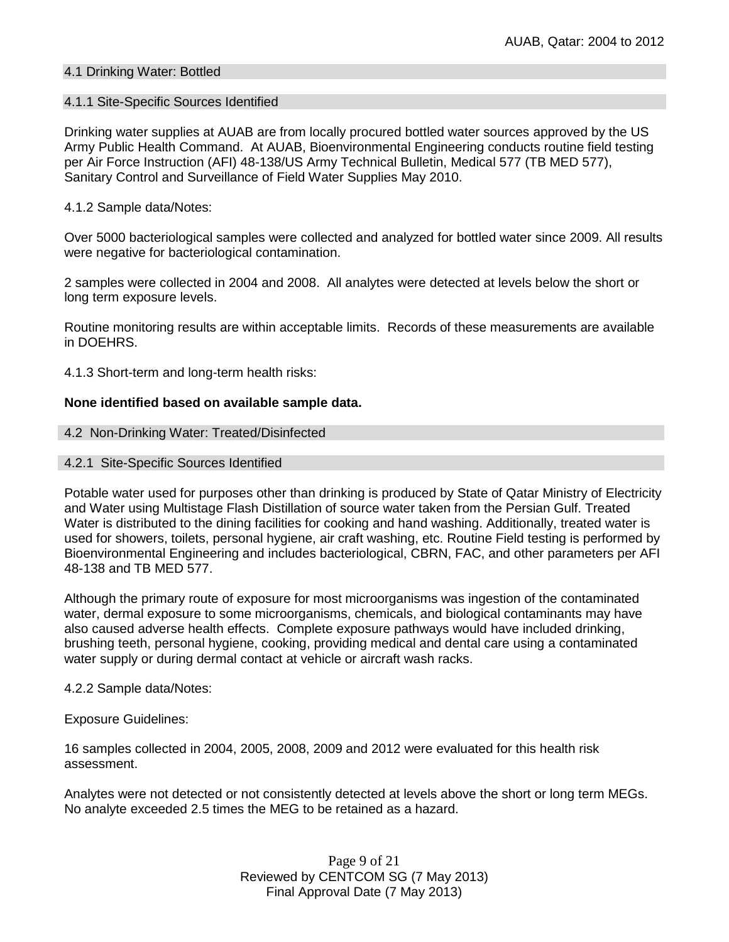## 4.1 Drinking Water: Bottled

#### 4.1.1 Site-Specific Sources Identified

Drinking water supplies at AUAB are from locally procured bottled water sources approved by the US Army Public Health Command. At AUAB, Bioenvironmental Engineering conducts routine field testing per Air Force Instruction (AFI) 48-138/US Army Technical Bulletin, Medical 577 (TB MED 577), Sanitary Control and Surveillance of Field Water Supplies May 2010.

### 4.1.2 Sample data/Notes:

Over 5000 bacteriological samples were collected and analyzed for bottled water since 2009. All results were negative for bacteriological contamination.

2 samples were collected in 2004 and 2008. All analytes were detected at levels below the short or long term exposure levels.

Routine monitoring results are within acceptable limits. Records of these measurements are available in DOEHRS.

4.1.3 Short-term and long-term health risks:

## **None identified based on available sample data.**

#### 4.2 Non-Drinking Water: Treated/Disinfected

#### 4.2.1 Site-Specific Sources Identified

Potable water used for purposes other than drinking is produced by State of Qatar Ministry of Electricity and Water using Multistage Flash Distillation of source water taken from the Persian Gulf. Treated Water is distributed to the dining facilities for cooking and hand washing. Additionally, treated water is used for showers, toilets, personal hygiene, air craft washing, etc. Routine Field testing is performed by Bioenvironmental Engineering and includes bacteriological, CBRN, FAC, and other parameters per AFI 48-138 and TB MED 577.

Although the primary route of exposure for most microorganisms was ingestion of the contaminated water, dermal exposure to some microorganisms, chemicals, and biological contaminants may have also caused adverse health effects. Complete exposure pathways would have included drinking, brushing teeth, personal hygiene, cooking, providing medical and dental care using a contaminated water supply or during dermal contact at vehicle or aircraft wash racks.

#### 4.2.2 Sample data/Notes:

Exposure Guidelines:

16 samples collected in 2004, 2005, 2008, 2009 and 2012 were evaluated for this health risk assessment.

Analytes were not detected or not consistently detected at levels above the short or long term MEGs. No analyte exceeded 2.5 times the MEG to be retained as a hazard.

> Page 9 of 21 Reviewed by CENTCOM SG (7 May 2013) Final Approval Date (7 May 2013)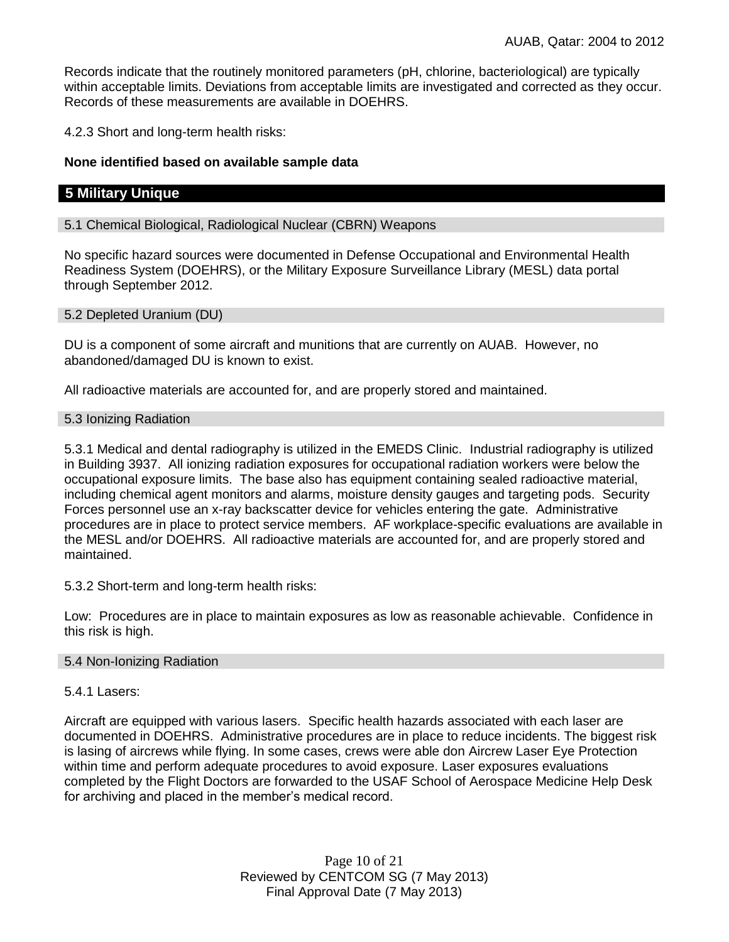Records indicate that the routinely monitored parameters (pH, chlorine, bacteriological) are typically within acceptable limits. Deviations from acceptable limits are investigated and corrected as they occur. Records of these measurements are available in DOEHRS.

4.2.3 Short and long-term health risks:

### **None identified based on available sample data**

## **5 Military Unique**

#### 5.1 Chemical Biological, Radiological Nuclear (CBRN) Weapons

No specific hazard sources were documented in Defense Occupational and Environmental Health Readiness System (DOEHRS), or the Military Exposure Surveillance Library (MESL) data portal through September 2012.

#### 5.2 Depleted Uranium (DU)

DU is a component of some aircraft and munitions that are currently on AUAB. However, no abandoned/damaged DU is known to exist.

All radioactive materials are accounted for, and are properly stored and maintained.

#### 5.3 Ionizing Radiation

5.3.1 Medical and dental radiography is utilized in the EMEDS Clinic. Industrial radiography is utilized in Building 3937. All ionizing radiation exposures for occupational radiation workers were below the occupational exposure limits. The base also has equipment containing sealed radioactive material, including chemical agent monitors and alarms, moisture density gauges and targeting pods. Security Forces personnel use an x-ray backscatter device for vehicles entering the gate. Administrative procedures are in place to protect service members. AF workplace-specific evaluations are available in the MESL and/or DOEHRS. All radioactive materials are accounted for, and are properly stored and maintained.

5.3.2 Short-term and long-term health risks:

Low: Procedures are in place to maintain exposures as low as reasonable achievable. Confidence in this risk is high.

#### 5.4 Non-Ionizing Radiation

#### 5.4.1 Lasers:

Aircraft are equipped with various lasers. Specific health hazards associated with each laser are documented in DOEHRS. Administrative procedures are in place to reduce incidents. The biggest risk is lasing of aircrews while flying. In some cases, crews were able don Aircrew Laser Eye Protection within time and perform adequate procedures to avoid exposure. Laser exposures evaluations completed by the Flight Doctors are forwarded to the USAF School of Aerospace Medicine Help Desk for archiving and placed in the member's medical record.

> Page 10 of 21 Reviewed by CENTCOM SG (7 May 2013) Final Approval Date (7 May 2013)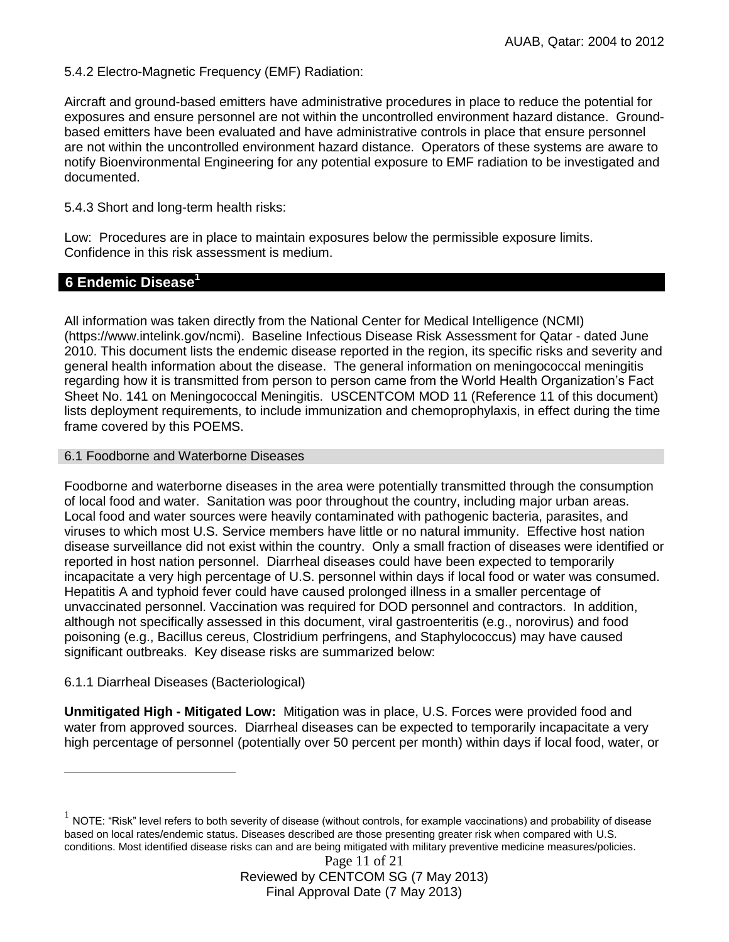5.4.2 Electro-Magnetic Frequency (EMF) Radiation:

Aircraft and ground-based emitters have administrative procedures in place to reduce the potential for exposures and ensure personnel are not within the uncontrolled environment hazard distance. Groundbased emitters have been evaluated and have administrative controls in place that ensure personnel are not within the uncontrolled environment hazard distance. Operators of these systems are aware to notify Bioenvironmental Engineering for any potential exposure to EMF radiation to be investigated and documented.

5.4.3 Short and long-term health risks:

Low: Procedures are in place to maintain exposures below the permissible exposure limits. Confidence in this risk assessment is medium.

#### **6 Endemic Disease<sup>1</sup>**

All information was taken directly from the National Center for Medical Intelligence (NCMI) (https://www.intelink.gov/ncmi). Baseline Infectious Disease Risk Assessment for Qatar - dated June 2010. This document lists the endemic disease reported in the region, its specific risks and severity and general health information about the disease. The general information on meningococcal meningitis regarding how it is transmitted from person to person came from the World Health Organization's Fact Sheet No. 141 on Meningococcal Meningitis. USCENTCOM MOD 11 (Reference 11 of this document) lists deployment requirements, to include immunization and chemoprophylaxis, in effect during the time frame covered by this POEMS.

#### 6.1 Foodborne and Waterborne Diseases

Foodborne and waterborne diseases in the area were potentially transmitted through the consumption of local food and water. Sanitation was poor throughout the country, including major urban areas. Local food and water sources were heavily contaminated with pathogenic bacteria, parasites, and viruses to which most U.S. Service members have little or no natural immunity. Effective host nation disease surveillance did not exist within the country. Only a small fraction of diseases were identified or reported in host nation personnel. Diarrheal diseases could have been expected to temporarily incapacitate a very high percentage of U.S. personnel within days if local food or water was consumed. Hepatitis A and typhoid fever could have caused prolonged illness in a smaller percentage of unvaccinated personnel. Vaccination was required for DOD personnel and contractors. In addition, although not specifically assessed in this document, viral gastroenteritis (e.g., norovirus) and food poisoning (e.g., Bacillus cereus, Clostridium perfringens, and Staphylococcus) may have caused significant outbreaks. Key disease risks are summarized below:

#### 6.1.1 Diarrheal Diseases (Bacteriological)

 $\overline{a}$ 

**Unmitigated High - Mitigated Low:** Mitigation was in place, U.S. Forces were provided food and water from approved sources. Diarrheal diseases can be expected to temporarily incapacitate a very high percentage of personnel (potentially over 50 percent per month) within days if local food, water, or

 $^1$  NOTE: "Risk" level refers to both severity of disease (without controls, for example vaccinations) and probability of disease based on local rates/endemic status. Diseases described are those presenting greater risk when compared with U.S. conditions. Most identified disease risks can and are being mitigated with military preventive medicine measures/policies.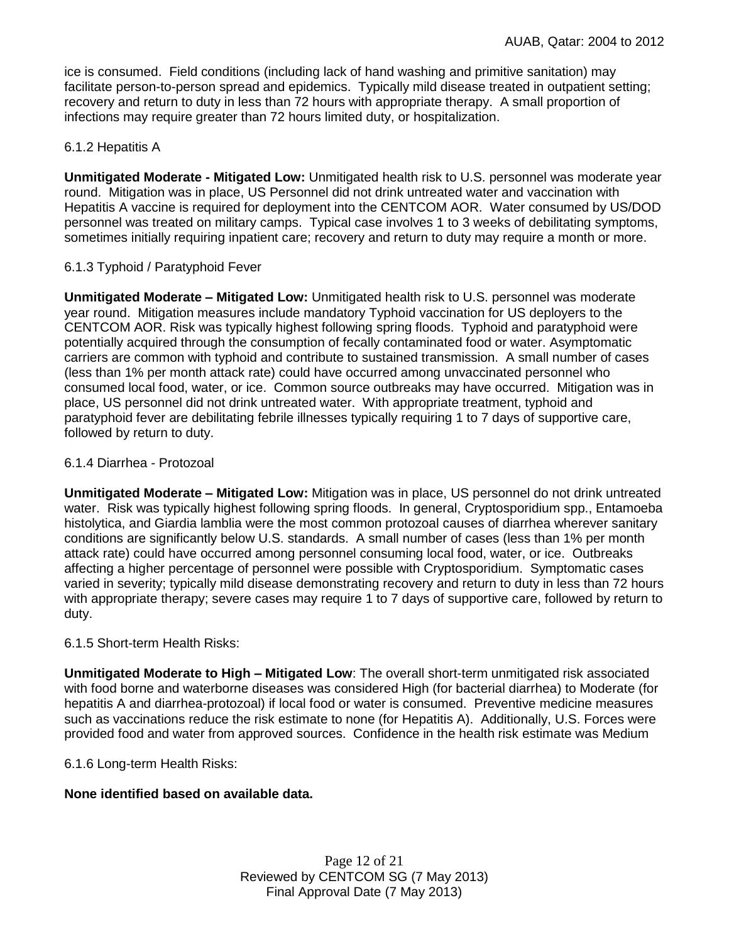ice is consumed. Field conditions (including lack of hand washing and primitive sanitation) may facilitate person-to-person spread and epidemics. Typically mild disease treated in outpatient setting; recovery and return to duty in less than 72 hours with appropriate therapy. A small proportion of infections may require greater than 72 hours limited duty, or hospitalization.

## 6.1.2 Hepatitis A

**Unmitigated Moderate - Mitigated Low:** Unmitigated health risk to U.S. personnel was moderate year round. Mitigation was in place, US Personnel did not drink untreated water and vaccination with Hepatitis A vaccine is required for deployment into the CENTCOM AOR. Water consumed by US/DOD personnel was treated on military camps. Typical case involves 1 to 3 weeks of debilitating symptoms, sometimes initially requiring inpatient care; recovery and return to duty may require a month or more.

## 6.1.3 Typhoid / Paratyphoid Fever

**Unmitigated Moderate – Mitigated Low:** Unmitigated health risk to U.S. personnel was moderate year round. Mitigation measures include mandatory Typhoid vaccination for US deployers to the CENTCOM AOR. Risk was typically highest following spring floods. Typhoid and paratyphoid were potentially acquired through the consumption of fecally contaminated food or water. Asymptomatic carriers are common with typhoid and contribute to sustained transmission. A small number of cases (less than 1% per month attack rate) could have occurred among unvaccinated personnel who consumed local food, water, or ice. Common source outbreaks may have occurred. Mitigation was in place, US personnel did not drink untreated water. With appropriate treatment, typhoid and paratyphoid fever are debilitating febrile illnesses typically requiring 1 to 7 days of supportive care, followed by return to duty.

#### 6.1.4 Diarrhea - Protozoal

**Unmitigated Moderate – Mitigated Low:** Mitigation was in place, US personnel do not drink untreated water. Risk was typically highest following spring floods. In general, Cryptosporidium spp., Entamoeba histolytica, and Giardia lamblia were the most common protozoal causes of diarrhea wherever sanitary conditions are significantly below U.S. standards. A small number of cases (less than 1% per month attack rate) could have occurred among personnel consuming local food, water, or ice. Outbreaks affecting a higher percentage of personnel were possible with Cryptosporidium. Symptomatic cases varied in severity; typically mild disease demonstrating recovery and return to duty in less than 72 hours with appropriate therapy; severe cases may require 1 to 7 days of supportive care, followed by return to duty.

#### 6.1.5 Short-term Health Risks:

**Unmitigated Moderate to High – Mitigated Low**: The overall short-term unmitigated risk associated with food borne and waterborne diseases was considered High (for bacterial diarrhea) to Moderate (for hepatitis A and diarrhea-protozoal) if local food or water is consumed. Preventive medicine measures such as vaccinations reduce the risk estimate to none (for Hepatitis A).Additionally, U.S. Forces were provided food and water from approved sources. Confidence in the health risk estimate was Medium

6.1.6 Long-term Health Risks:

## **None identified based on available data.**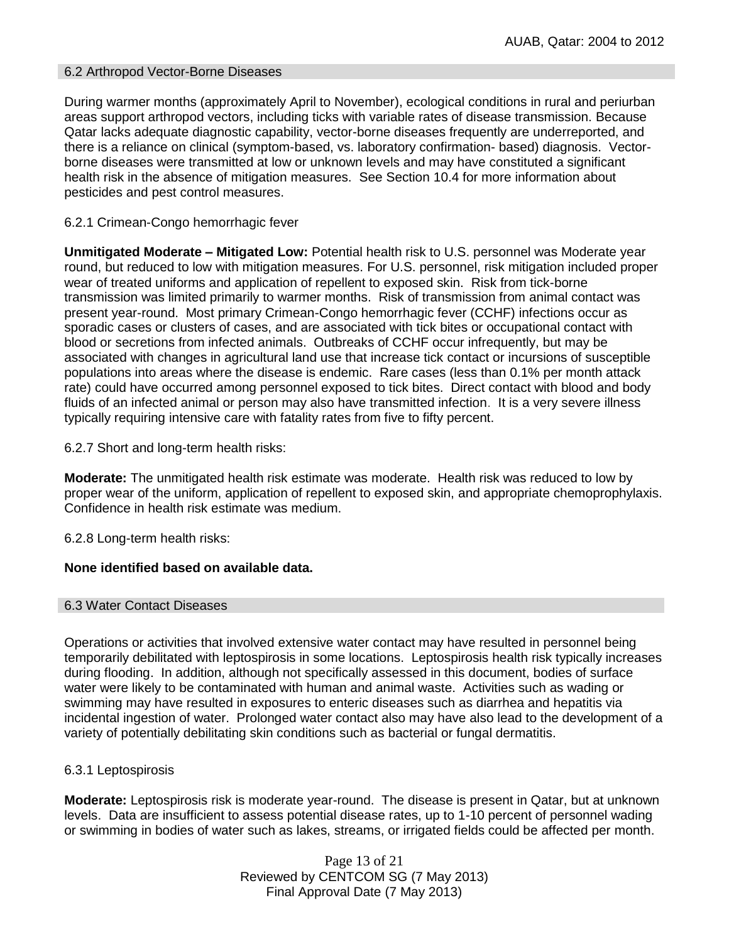### 6.2 Arthropod Vector-Borne Diseases

During warmer months (approximately April to November), ecological conditions in rural and periurban areas support arthropod vectors, including ticks with variable rates of disease transmission. Because Qatar lacks adequate diagnostic capability, vector-borne diseases frequently are underreported, and there is a reliance on clinical (symptom-based, vs. laboratory confirmation- based) diagnosis. Vectorborne diseases were transmitted at low or unknown levels and may have constituted a significant health risk in the absence of mitigation measures. See Section 10.4 for more information about pesticides and pest control measures.

## 6.2.1 Crimean-Congo hemorrhagic fever

**Unmitigated Moderate – Mitigated Low:** Potential health risk to U.S. personnel was Moderate year round, but reduced to low with mitigation measures. For U.S. personnel, risk mitigation included proper wear of treated uniforms and application of repellent to exposed skin. Risk from tick-borne transmission was limited primarily to warmer months. Risk of transmission from animal contact was present year-round. Most primary Crimean-Congo hemorrhagic fever (CCHF) infections occur as sporadic cases or clusters of cases, and are associated with tick bites or occupational contact with blood or secretions from infected animals. Outbreaks of CCHF occur infrequently, but may be associated with changes in agricultural land use that increase tick contact or incursions of susceptible populations into areas where the disease is endemic. Rare cases (less than 0.1% per month attack rate) could have occurred among personnel exposed to tick bites. Direct contact with blood and body fluids of an infected animal or person may also have transmitted infection. It is a very severe illness typically requiring intensive care with fatality rates from five to fifty percent.

6.2.7 Short and long-term health risks:

**Moderate:** The unmitigated health risk estimate was moderate. Health risk was reduced to low by proper wear of the uniform, application of repellent to exposed skin, and appropriate chemoprophylaxis. Confidence in health risk estimate was medium.

6.2.8 Long-term health risks:

## **None identified based on available data.**

#### 6.3 Water Contact Diseases

Operations or activities that involved extensive water contact may have resulted in personnel being temporarily debilitated with leptospirosis in some locations. Leptospirosis health risk typically increases during flooding. In addition, although not specifically assessed in this document, bodies of surface water were likely to be contaminated with human and animal waste. Activities such as wading or swimming may have resulted in exposures to enteric diseases such as diarrhea and hepatitis via incidental ingestion of water. Prolonged water contact also may have also lead to the development of a variety of potentially debilitating skin conditions such as bacterial or fungal dermatitis.

## 6.3.1 Leptospirosis

**Moderate:** Leptospirosis risk is moderate year-round. The disease is present in Qatar, but at unknown levels. Data are insufficient to assess potential disease rates, up to 1-10 percent of personnel wading or swimming in bodies of water such as lakes, streams, or irrigated fields could be affected per month.

> Page 13 of 21 Reviewed by CENTCOM SG (7 May 2013) Final Approval Date (7 May 2013)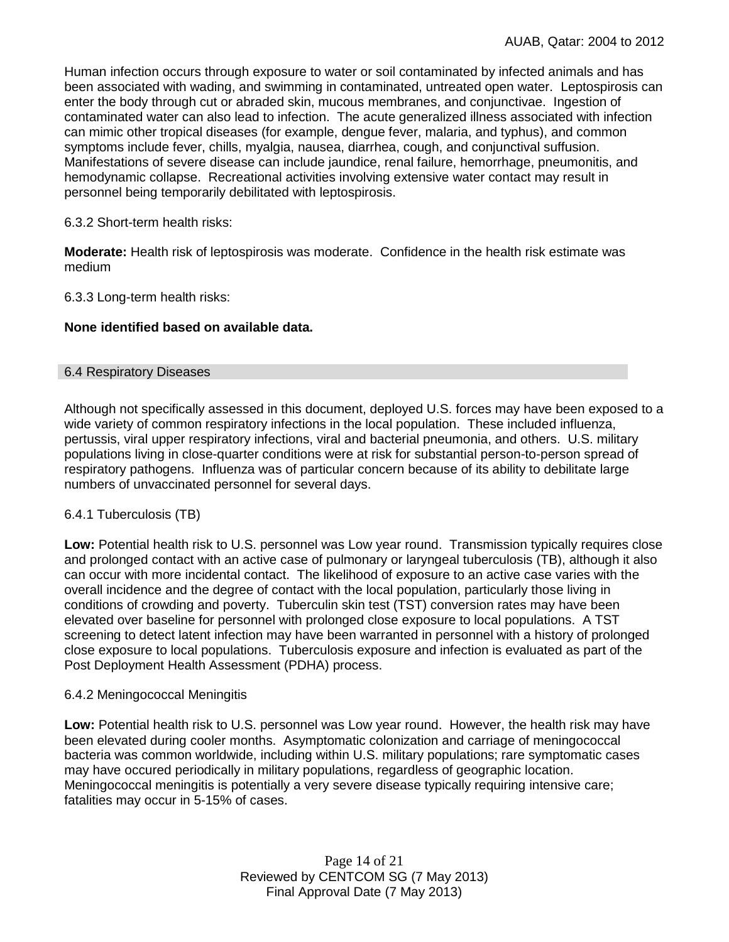Human infection occurs through exposure to water or soil contaminated by infected animals and has been associated with wading, and swimming in contaminated, untreated open water.Leptospirosis can enter the body through cut or abraded skin, mucous membranes, and conjunctivae. Ingestion of contaminated water can also lead to infection. The acute generalized illness associated with infection can mimic other tropical diseases (for example, dengue fever, malaria, and typhus), and common symptoms include fever, chills, myalgia, nausea, diarrhea, cough, and conjunctival suffusion. Manifestations of severe disease can include jaundice, renal failure, hemorrhage, pneumonitis, and hemodynamic collapse. Recreational activities involving extensive water contact may result in personnel being temporarily debilitated with leptospirosis.

#### 6.3.2 Short-term health risks:

**Moderate:** Health risk of leptospirosis was moderate. Confidence in the health risk estimate was medium

6.3.3 Long-term health risks:

#### **None identified based on available data.**

#### 6.4 Respiratory Diseases

Although not specifically assessed in this document, deployed U.S. forces may have been exposed to a wide variety of common respiratory infections in the local population. These included influenza, pertussis, viral upper respiratory infections, viral and bacterial pneumonia, and others. U.S. military populations living in close-quarter conditions were at risk for substantial person-to-person spread of respiratory pathogens. Influenza was of particular concern because of its ability to debilitate large numbers of unvaccinated personnel for several days.

#### 6.4.1 Tuberculosis (TB)

**Low:** Potential health risk to U.S. personnel was Low year round. Transmission typically requires close and prolonged contact with an active case of pulmonary or laryngeal tuberculosis (TB), although it also can occur with more incidental contact. The likelihood of exposure to an active case varies with the overall incidence and the degree of contact with the local population, particularly those living in conditions of crowding and poverty. Tuberculin skin test (TST) conversion rates may have been elevated over baseline for personnel with prolonged close exposure to local populations. A TST screening to detect latent infection may have been warranted in personnel with a history of prolonged close exposure to local populations. Tuberculosis exposure and infection is evaluated as part of the Post Deployment Health Assessment (PDHA) process.

#### 6.4.2 Meningococcal Meningitis

**Low:** Potential health risk to U.S. personnel was Low year round. However, the health risk may have been elevated during cooler months. Asymptomatic colonization and carriage of meningococcal bacteria was common worldwide, including within U.S. military populations; rare symptomatic cases may have occured periodically in military populations, regardless of geographic location. Meningococcal meningitis is potentially a very severe disease typically requiring intensive care; fatalities may occur in 5-15% of cases.

> Page 14 of 21 Reviewed by CENTCOM SG (7 May 2013) Final Approval Date (7 May 2013)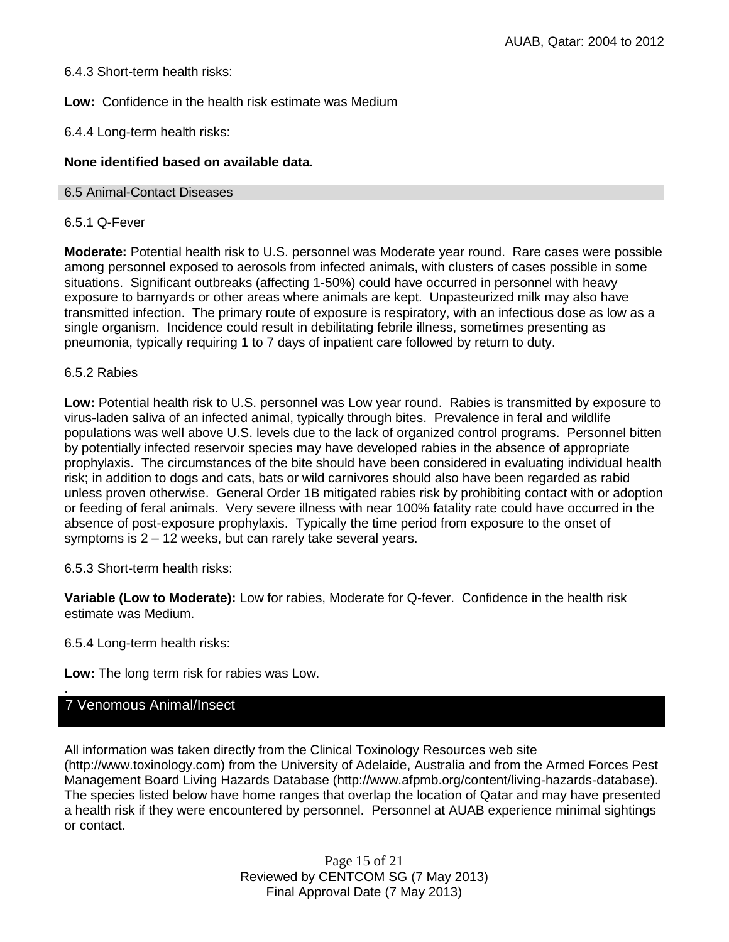## 6.4.3 Short-term health risks:

**Low:** Confidence in the health risk estimate was Medium

6.4.4 Long-term health risks:

## **None identified based on available data.**

#### 6.5 Animal-Contact Diseases

### 6.5.1 Q-Fever

**Moderate:** Potential health risk to U.S. personnel was Moderate year round. Rare cases were possible among personnel exposed to aerosols from infected animals, with clusters of cases possible in some situations. Significant outbreaks (affecting 1-50%) could have occurred in personnel with heavy exposure to barnyards or other areas where animals are kept. Unpasteurized milk may also have transmitted infection. The primary route of exposure is respiratory, with an infectious dose as low as a single organism. Incidence could result in debilitating febrile illness, sometimes presenting as pneumonia, typically requiring 1 to 7 days of inpatient care followed by return to duty.

#### 6.5.2 Rabies

**Low:** Potential health risk to U.S. personnel was Low year round. Rabies is transmitted by exposure to virus-laden saliva of an infected animal, typically through bites. Prevalence in feral and wildlife populations was well above U.S. levels due to the lack of organized control programs. Personnel bitten by potentially infected reservoir species may have developed rabies in the absence of appropriate prophylaxis. The circumstances of the bite should have been considered in evaluating individual health risk; in addition to dogs and cats, bats or wild carnivores should also have been regarded as rabid unless proven otherwise. General Order 1B mitigated rabies risk by prohibiting contact with or adoption or feeding of feral animals. Very severe illness with near 100% fatality rate could have occurred in the absence of post-exposure prophylaxis. Typically the time period from exposure to the onset of symptoms is 2 – 12 weeks, but can rarely take several years.

6.5.3 Short-term health risks:

**Variable (Low to Moderate):** Low for rabies, Moderate for Q-fever. Confidence in the health risk estimate was Medium.

6.5.4 Long-term health risks:

**Low:** The long term risk for rabies was Low.

## 7 Venomous Animal/Insect

.

All information was taken directly from the Clinical Toxinology Resources web site (http://www.toxinology.com) from the University of Adelaide, Australia and from the Armed Forces Pest Management Board Living Hazards Database (http://www.afpmb.org/content/living-hazards-database). The species listed below have home ranges that overlap the location of Qatar and may have presented a health risk if they were encountered by personnel. Personnel at AUAB experience minimal sightings or contact.

> Page 15 of 21 Reviewed by CENTCOM SG (7 May 2013) Final Approval Date (7 May 2013)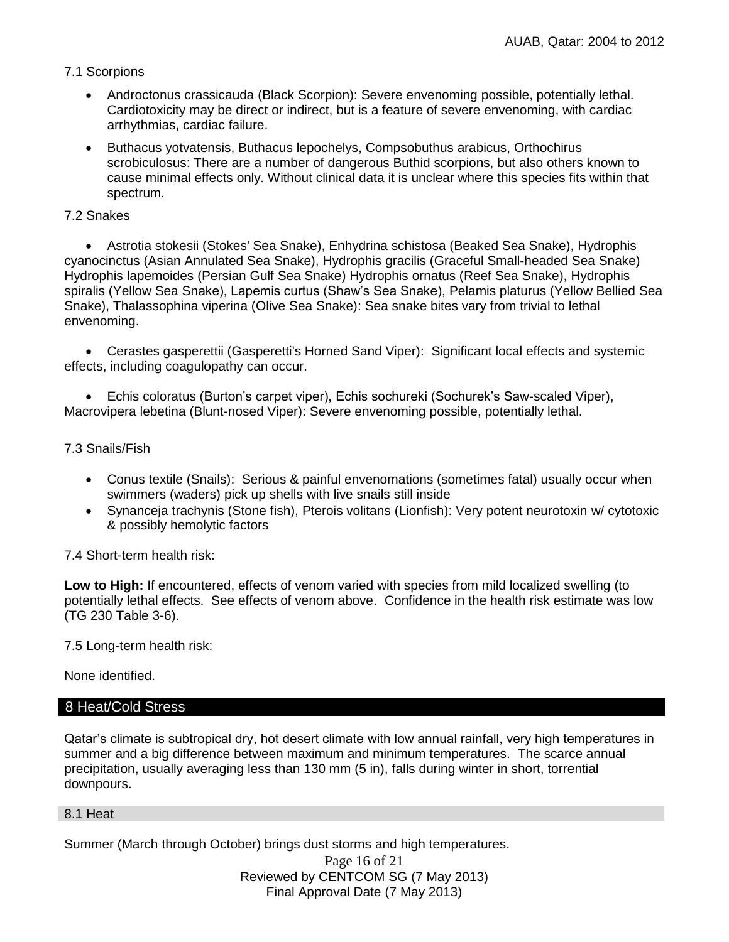## 7.1 Scorpions

- Androctonus crassicauda (Black Scorpion): Severe envenoming possible, potentially lethal. Cardiotoxicity may be direct or indirect, but is a feature of severe envenoming, with cardiac arrhythmias, cardiac failure.
- Buthacus yotvatensis, Buthacus lepochelys, Compsobuthus arabicus, Orthochirus scrobiculosus: There are a number of dangerous Buthid scorpions, but also others known to cause minimal effects only. Without clinical data it is unclear where this species fits within that spectrum.

## 7.2 Snakes

 Astrotia stokesii (Stokes' Sea Snake), Enhydrina schistosa (Beaked Sea Snake), Hydrophis cyanocinctus (Asian Annulated Sea Snake), Hydrophis gracilis (Graceful Small-headed Sea Snake) Hydrophis lapemoides (Persian Gulf Sea Snake) Hydrophis ornatus (Reef Sea Snake), Hydrophis spiralis (Yellow Sea Snake), Lapemis curtus (Shaw's Sea Snake), Pelamis platurus (Yellow Bellied Sea Snake), Thalassophina viperina (Olive Sea Snake): Sea snake bites vary from trivial to lethal envenoming.

• Cerastes gasperettii (Gasperetti's Horned Sand Viper): Significant local effects and systemic effects, including coagulopathy can occur.

 Echis coloratus (Burton's carpet viper), Echis sochureki (Sochurek's Saw-scaled Viper), Macrovipera lebetina (Blunt-nosed Viper): Severe envenoming possible, potentially lethal.

## 7.3 Snails/Fish

- Conus textile (Snails): Serious & painful envenomations (sometimes fatal) usually occur when swimmers (waders) pick up shells with live snails still inside
- Synanceja trachynis (Stone fish), Pterois volitans (Lionfish): Very potent neurotoxin w/ cytotoxic & possibly hemolytic factors

7.4 Short-term health risk:

**Low to High:** If encountered, effects of venom varied with species from mild localized swelling (to potentially lethal effects. See effects of venom above. Confidence in the health risk estimate was low (TG 230 Table 3-6).

7.5 Long-term health risk:

None identified.

## 8 Heat/Cold Stress

Qatar's climate is subtropical dry, hot desert climate with low annual rainfall, very high temperatures in summer and a big difference between maximum and minimum temperatures. The scarce annual precipitation, usually averaging less than 130 mm (5 in), falls during winter in short, torrential downpours.

#### 8.1 Heat

Page 16 of 21 Reviewed by CENTCOM SG (7 May 2013) Final Approval Date (7 May 2013) Summer (March through October) brings dust storms and high temperatures.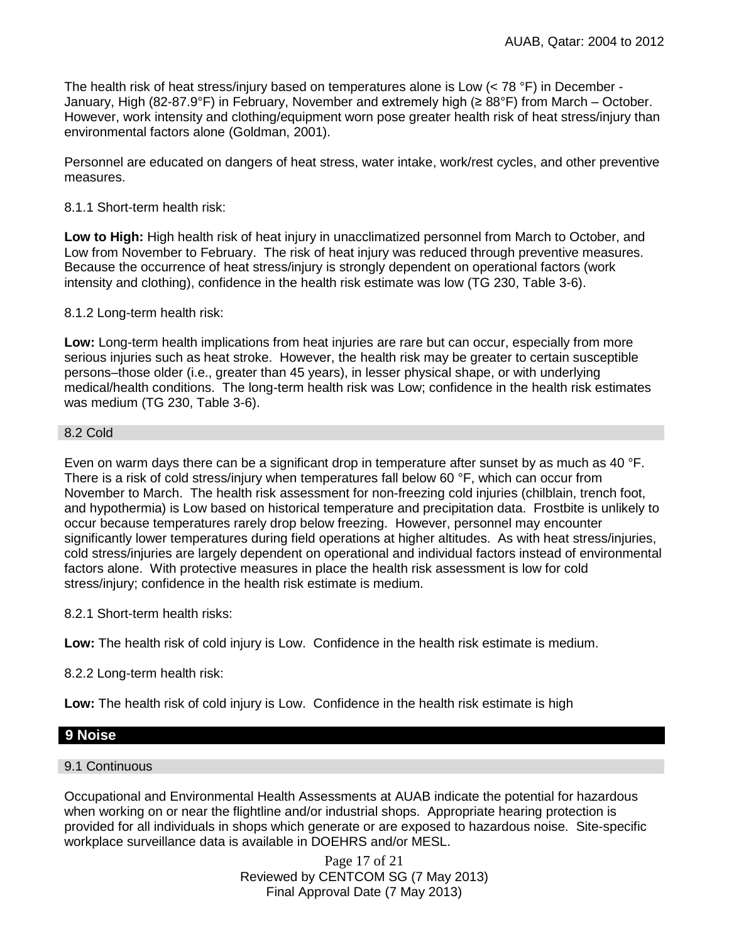The health risk of heat stress/injury based on temperatures alone is Low  $(< 78 °F)$  in December -January, High (82-87.9°F) in February, November and extremely high (≥ 88°F) from March – October. However, work intensity and clothing/equipment worn pose greater health risk of heat stress/injury than environmental factors alone (Goldman, 2001).

Personnel are educated on dangers of heat stress, water intake, work/rest cycles, and other preventive measures.

## 8.1.1 Short-term health risk:

**Low to High:** High health risk of heat injury in unacclimatized personnel from March to October, and Low from November to February. The risk of heat injury was reduced through preventive measures. Because the occurrence of heat stress/injury is strongly dependent on operational factors (work intensity and clothing), confidence in the health risk estimate was low (TG 230, Table 3-6).

## 8.1.2 Long-term health risk:

**Low:** Long-term health implications from heat injuries are rare but can occur, especially from more serious injuries such as heat stroke. However, the health risk may be greater to certain susceptible persons–those older (i.e., greater than 45 years), in lesser physical shape, or with underlying medical/health conditions. The long-term health risk was Low; confidence in the health risk estimates was medium (TG 230, Table 3-6).

## 8.2 Cold

Even on warm days there can be a significant drop in temperature after sunset by as much as 40 °F. There is a risk of cold stress/injury when temperatures fall below 60 °F, which can occur from November to March. The health risk assessment for non-freezing cold injuries (chilblain, trench foot, and hypothermia) is Low based on historical temperature and precipitation data. Frostbite is unlikely to occur because temperatures rarely drop below freezing. However, personnel may encounter significantly lower temperatures during field operations at higher altitudes. As with heat stress/injuries, cold stress/injuries are largely dependent on operational and individual factors instead of environmental factors alone. With protective measures in place the health risk assessment is low for cold stress/injury; confidence in the health risk estimate is medium.

8.2.1 Short-term health risks:

**Low:** The health risk of cold injury is Low. Confidence in the health risk estimate is medium.

8.2.2 Long-term health risk:

**Low:** The health risk of cold injury is Low. Confidence in the health risk estimate is high

## **9 Noise**

## 9.1 Continuous

Occupational and Environmental Health Assessments at AUAB indicate the potential for hazardous when working on or near the flightline and/or industrial shops. Appropriate hearing protection is provided for all individuals in shops which generate or are exposed to hazardous noise. Site-specific workplace surveillance data is available in DOEHRS and/or MESL.

> Page 17 of 21 Reviewed by CENTCOM SG (7 May 2013) Final Approval Date (7 May 2013)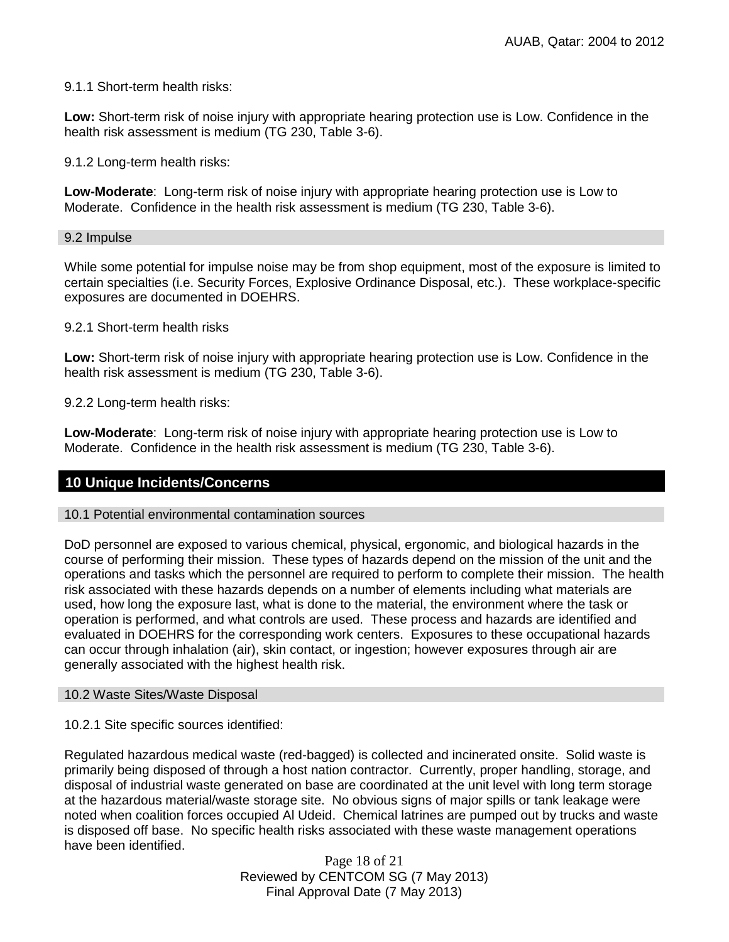#### 9.1.1 Short-term health risks:

**Low:** Short-term risk of noise injury with appropriate hearing protection use is Low. Confidence in the health risk assessment is medium (TG 230, Table 3-6).

9.1.2 Long-term health risks:

**Low-Moderate**: Long-term risk of noise injury with appropriate hearing protection use is Low to Moderate. Confidence in the health risk assessment is medium (TG 230, Table 3-6).

#### 9.2 Impulse

While some potential for impulse noise may be from shop equipment, most of the exposure is limited to certain specialties (i.e. Security Forces, Explosive Ordinance Disposal, etc.). These workplace-specific exposures are documented in DOEHRS.

9.2.1 Short-term health risks

**Low:** Short-term risk of noise injury with appropriate hearing protection use is Low. Confidence in the health risk assessment is medium (TG 230, Table 3-6).

9.2.2 Long-term health risks:

**Low-Moderate**: Long-term risk of noise injury with appropriate hearing protection use is Low to Moderate. Confidence in the health risk assessment is medium (TG 230, Table 3-6).

#### **10 Unique Incidents/Concerns**

10.1 Potential environmental contamination sources

DoD personnel are exposed to various chemical, physical, ergonomic, and biological hazards in the course of performing their mission. These types of hazards depend on the mission of the unit and the operations and tasks which the personnel are required to perform to complete their mission. The health risk associated with these hazards depends on a number of elements including what materials are used, how long the exposure last, what is done to the material, the environment where the task or operation is performed, and what controls are used. These process and hazards are identified and evaluated in DOEHRS for the corresponding work centers. Exposures to these occupational hazards can occur through inhalation (air), skin contact, or ingestion; however exposures through air are generally associated with the highest health risk.

#### 10.2 Waste Sites/Waste Disposal

10.2.1 Site specific sources identified:

Regulated hazardous medical waste (red-bagged) is collected and incinerated onsite. Solid waste is primarily being disposed of through a host nation contractor. Currently, proper handling, storage, and disposal of industrial waste generated on base are coordinated at the unit level with long term storage at the hazardous material/waste storage site. No obvious signs of major spills or tank leakage were noted when coalition forces occupied Al Udeid. Chemical latrines are pumped out by trucks and waste is disposed off base. No specific health risks associated with these waste management operations have been identified.

> Page 18 of 21 Reviewed by CENTCOM SG (7 May 2013) Final Approval Date (7 May 2013)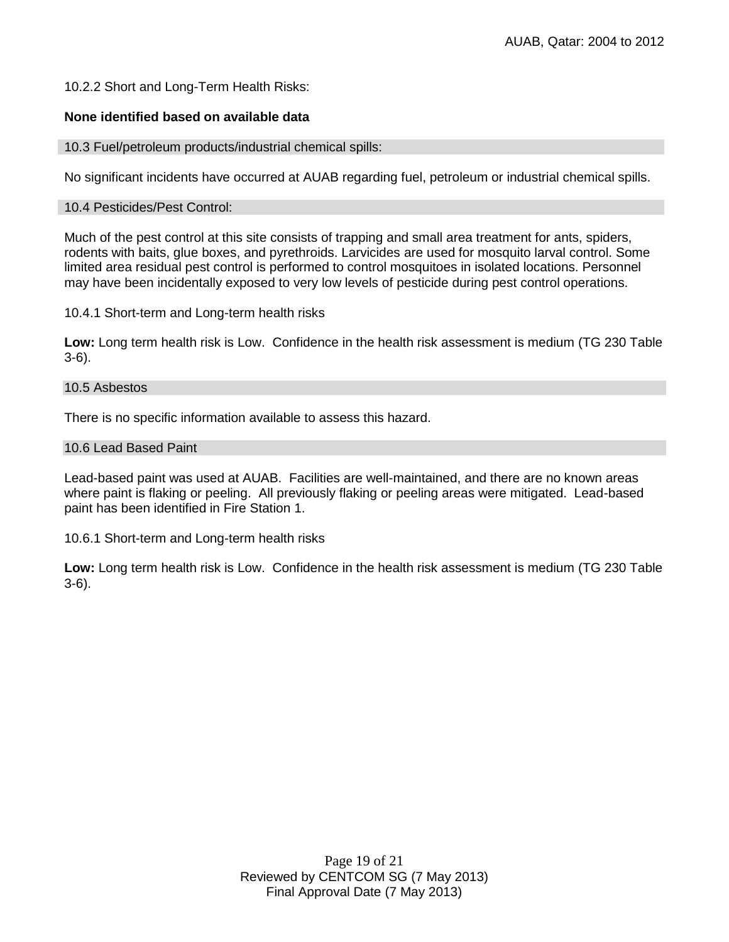## 10.2.2 Short and Long-Term Health Risks:

## **None identified based on available data**

#### 10.3 Fuel/petroleum products/industrial chemical spills:

No significant incidents have occurred at AUAB regarding fuel, petroleum or industrial chemical spills.

#### 10.4 Pesticides/Pest Control:

Much of the pest control at this site consists of trapping and small area treatment for ants, spiders, rodents with baits, glue boxes, and pyrethroids. Larvicides are used for mosquito larval control. Some limited area residual pest control is performed to control mosquitoes in isolated locations. Personnel may have been incidentally exposed to very low levels of pesticide during pest control operations.

10.4.1 Short-term and Long-term health risks

**Low:** Long term health risk is Low. Confidence in the health risk assessment is medium (TG 230 Table 3-6).

#### 10.5 Asbestos

There is no specific information available to assess this hazard.

#### 10.6 Lead Based Paint

Lead-based paint was used at AUAB. Facilities are well-maintained, and there are no known areas where paint is flaking or peeling. All previously flaking or peeling areas were mitigated. Lead-based paint has been identified in Fire Station 1.

10.6.1 Short-term and Long-term health risks

**Low:** Long term health risk is Low. Confidence in the health risk assessment is medium (TG 230 Table 3-6).

> Page 19 of 21 Reviewed by CENTCOM SG (7 May 2013) Final Approval Date (7 May 2013)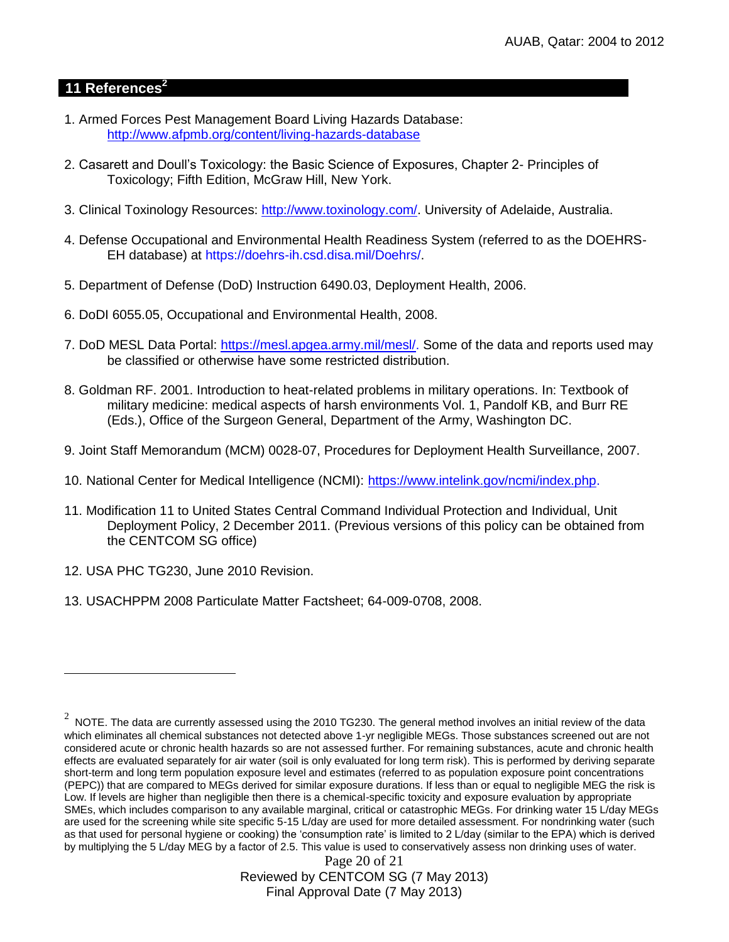## **11 References<sup>2</sup>**

- 1. Armed Forces Pest Management Board Living Hazards Database: <http://www.afpmb.org/content/living-hazards-database>
- 2. Casarett and Doull's Toxicology: the Basic Science of Exposures, Chapter 2- Principles of Toxicology; Fifth Edition, McGraw Hill, New York.
- 3. Clinical Toxinology Resources: [http://www.toxinology.com/.](http://www.toxinology.com/) University of Adelaide, Australia.
- 4. Defense Occupational and Environmental Health Readiness System (referred to as the DOEHRS-EH database) at https://doehrs-ih.csd.disa.mil/Doehrs/.
- 5. Department of Defense (DoD) Instruction 6490.03, Deployment Health, 2006.
- 6. DoDI 6055.05, Occupational and Environmental Health, 2008.
- 7. DoD MESL Data Portal: [https://mesl.apgea.army.mil/mesl/.](https://mesl.apgea.army.mil/mesl/) Some of the data and reports used may be classified or otherwise have some restricted distribution.
- 8. Goldman RF. 2001. Introduction to heat-related problems in military operations. In: Textbook of military medicine: medical aspects of harsh environments Vol. 1, Pandolf KB, and Burr RE (Eds.), Office of the Surgeon General, Department of the Army, Washington DC.
- 9. Joint Staff Memorandum (MCM) 0028-07, Procedures for Deployment Health Surveillance, 2007.
- 10. National Center for Medical Intelligence (NCMI): [https://www.intelink.gov/ncmi/index.php.](https://www.intelink.gov/ncmi/index.php)
- 11. Modification 11 to United States Central Command Individual Protection and Individual, Unit Deployment Policy, 2 December 2011. (Previous versions of this policy can be obtained from the CENTCOM SG office)
- 12. USA PHC TG230, June 2010 Revision.

 $\overline{a}$ 

13. USACHPPM 2008 Particulate Matter Factsheet; 64-009-0708, 2008.

Page 20 of 21 Reviewed by CENTCOM SG (7 May 2013) Final Approval Date (7 May 2013)

 $^2$  NOTE. The data are currently assessed using the 2010 TG230. The general method involves an initial review of the data which eliminates all chemical substances not detected above 1-yr negligible MEGs. Those substances screened out are not considered acute or chronic health hazards so are not assessed further. For remaining substances, acute and chronic health effects are evaluated separately for air water (soil is only evaluated for long term risk). This is performed by deriving separate short-term and long term population exposure level and estimates (referred to as population exposure point concentrations (PEPC)) that are compared to MEGs derived for similar exposure durations. If less than or equal to negligible MEG the risk is Low. If levels are higher than negligible then there is a chemical-specific toxicity and exposure evaluation by appropriate SMEs, which includes comparison to any available marginal, critical or catastrophic MEGs. For drinking water 15 L/day MEGs are used for the screening while site specific 5-15 L/day are used for more detailed assessment. For nondrinking water (such as that used for personal hygiene or cooking) the 'consumption rate' is limited to 2 L/day (similar to the EPA) which is derived by multiplying the 5 L/day MEG by a factor of 2.5. This value is used to conservatively assess non drinking uses of water.